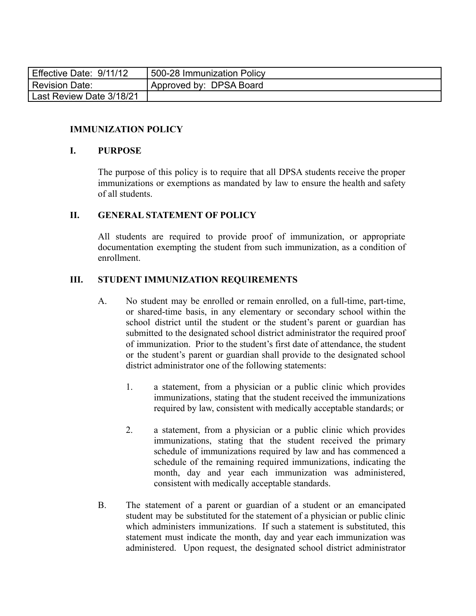| Effective Date: 9/11/12  | <b>1500-28 Immunization Policy</b> |
|--------------------------|------------------------------------|
| Revision Date:           | Approved by: DPSA Board            |
| Last Review Date 3/18/21 |                                    |

#### **IMMUNIZATION POLICY**

#### **I. PURPOSE**

The purpose of this policy is to require that all DPSA students receive the proper immunizations or exemptions as mandated by law to ensure the health and safety of all students.

#### **II. GENERAL STATEMENT OF POLICY**

All students are required to provide proof of immunization, or appropriate documentation exempting the student from such immunization, as a condition of enrollment.

#### **III. STUDENT IMMUNIZATION REQUIREMENTS**

- A. No student may be enrolled or remain enrolled, on a full-time, part-time, or shared-time basis, in any elementary or secondary school within the school district until the student or the student's parent or guardian has submitted to the designated school district administrator the required proof of immunization. Prior to the student's first date of attendance, the student or the student's parent or guardian shall provide to the designated school district administrator one of the following statements:
	- 1. a statement, from a physician or a public clinic which provides immunizations, stating that the student received the immunizations required by law, consistent with medically acceptable standards; or
	- 2. a statement, from a physician or a public clinic which provides immunizations, stating that the student received the primary schedule of immunizations required by law and has commenced a schedule of the remaining required immunizations, indicating the month, day and year each immunization was administered, consistent with medically acceptable standards.
- B. The statement of a parent or guardian of a student or an emancipated student may be substituted for the statement of a physician or public clinic which administers immunizations. If such a statement is substituted, this statement must indicate the month, day and year each immunization was administered. Upon request, the designated school district administrator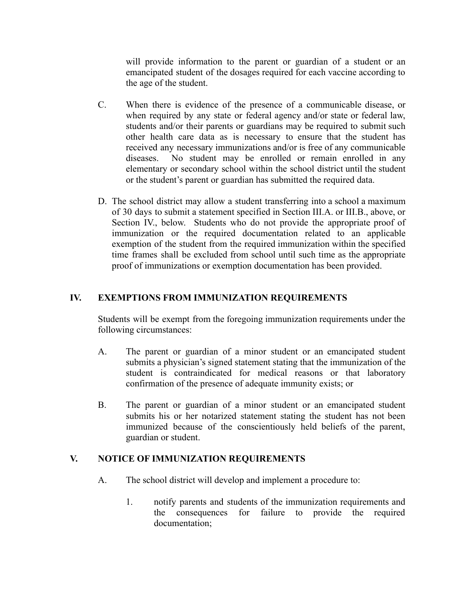will provide information to the parent or guardian of a student or an emancipated student of the dosages required for each vaccine according to the age of the student.

- C. When there is evidence of the presence of a communicable disease, or when required by any state or federal agency and/or state or federal law, students and/or their parents or guardians may be required to submit such other health care data as is necessary to ensure that the student has received any necessary immunizations and/or is free of any communicable diseases. No student may be enrolled or remain enrolled in any elementary or secondary school within the school district until the student or the student's parent or guardian has submitted the required data.
- D. The school district may allow a student transferring into a school a maximum of 30 days to submit a statement specified in Section III.A. or III.B., above, or Section IV., below. Students who do not provide the appropriate proof of immunization or the required documentation related to an applicable exemption of the student from the required immunization within the specified time frames shall be excluded from school until such time as the appropriate proof of immunizations or exemption documentation has been provided.

## **IV. EXEMPTIONS FROM IMMUNIZATION REQUIREMENTS**

Students will be exempt from the foregoing immunization requirements under the following circumstances:

- A. The parent or guardian of a minor student or an emancipated student submits a physician's signed statement stating that the immunization of the student is contraindicated for medical reasons or that laboratory confirmation of the presence of adequate immunity exists; or
- B. The parent or guardian of a minor student or an emancipated student submits his or her notarized statement stating the student has not been immunized because of the conscientiously held beliefs of the parent, guardian or student.

## **V. NOTICE OF IMMUNIZATION REQUIREMENTS**

- A. The school district will develop and implement a procedure to:
	- 1. notify parents and students of the immunization requirements and the consequences for failure to provide the required documentation;